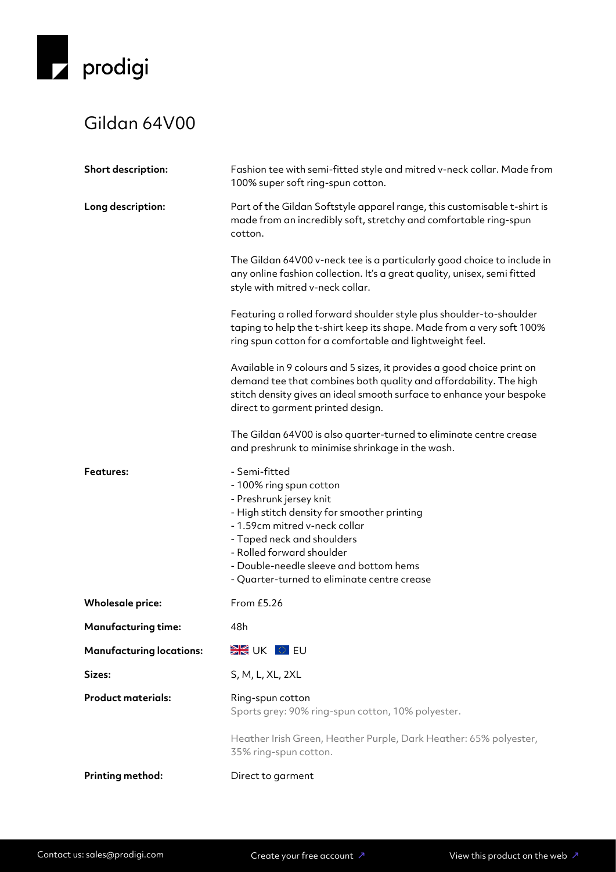

## Gildan 64V00

| Short description:              | Fashion tee with semi-fitted style and mitred v-neck collar. Made from<br>100% super soft ring-spun cotton.                                                                                                                                                                                             |  |
|---------------------------------|---------------------------------------------------------------------------------------------------------------------------------------------------------------------------------------------------------------------------------------------------------------------------------------------------------|--|
| Long description:               | Part of the Gildan Softstyle apparel range, this customisable t-shirt is<br>made from an incredibly soft, stretchy and comfortable ring-spun<br>cotton.                                                                                                                                                 |  |
|                                 | The Gildan 64V00 v-neck tee is a particularly good choice to include in<br>any online fashion collection. It's a great quality, unisex, semi fitted<br>style with mitred v-neck collar.                                                                                                                 |  |
|                                 | Featuring a rolled forward shoulder style plus shoulder-to-shoulder<br>taping to help the t-shirt keep its shape. Made from a very soft 100%<br>ring spun cotton for a comfortable and lightweight feel.                                                                                                |  |
|                                 | Available in 9 colours and 5 sizes, it provides a good choice print on<br>demand tee that combines both quality and affordability. The high<br>stitch density gives an ideal smooth surface to enhance your bespoke<br>direct to garment printed design.                                                |  |
|                                 | The Gildan 64V00 is also quarter-turned to eliminate centre crease<br>and preshrunk to minimise shrinkage in the wash.                                                                                                                                                                                  |  |
| <b>Features:</b>                | - Semi-fitted<br>- 100% ring spun cotton<br>- Preshrunk jersey knit<br>- High stitch density for smoother printing<br>- 1.59cm mitred v-neck collar<br>- Taped neck and shoulders<br>- Rolled forward shoulder<br>- Double-needle sleeve and bottom hems<br>- Quarter-turned to eliminate centre crease |  |
| <b>Wholesale price:</b>         | From £5.26                                                                                                                                                                                                                                                                                              |  |
| <b>Manufacturing time:</b>      | 48h                                                                                                                                                                                                                                                                                                     |  |
| <b>Manufacturing locations:</b> | <b>EXECUTE UK OF EU</b>                                                                                                                                                                                                                                                                                 |  |
| Sizes:                          | S, M, L, XL, 2XL                                                                                                                                                                                                                                                                                        |  |
| <b>Product materials:</b>       | Ring-spun cotton<br>Sports grey: 90% ring-spun cotton, 10% polyester.                                                                                                                                                                                                                                   |  |
|                                 | Heather Irish Green, Heather Purple, Dark Heather: 65% polyester,<br>35% ring-spun cotton.                                                                                                                                                                                                              |  |
| Printing method:                | Direct to garment                                                                                                                                                                                                                                                                                       |  |